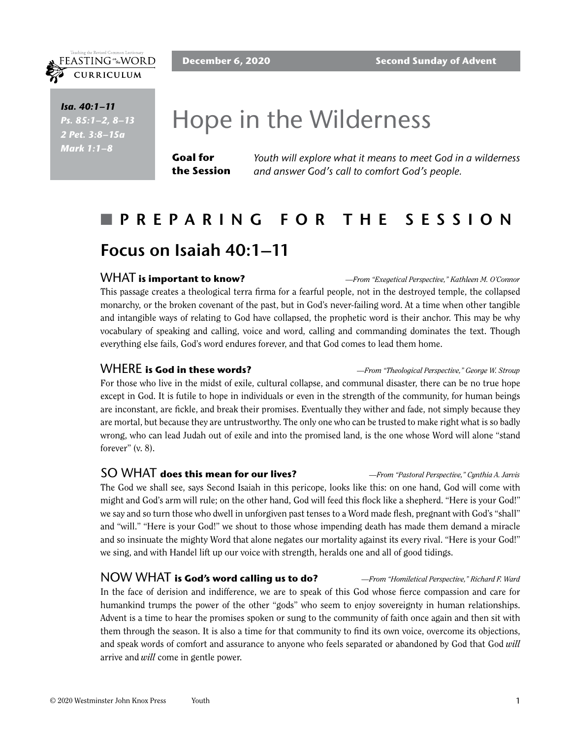

FEASTING<sup>on</sup>the WORD CURRICULUM

> *Isa. 40:1–11 Ps. 85:1–2, 8–13 2 Pet. 3:8–15a Mark 1:1–8*

# Hope in the Wilderness

**Goal for the Session** *Youth will explore what it means to meet God in a wilderness and answer God's call to comfort God's people.*

## n **PREPARING FOR THE SESSION Focus on Isaiah 40:1–11**

### WHAT **is important to know?** *—From "Exegetical Perspective," Kathleen M. O'Connor*

This passage creates a theological terra firma for a fearful people, not in the destroyed temple, the collapsed monarchy, or the broken covenant of the past, but in God's never-failing word. At a time when other tangible and intangible ways of relating to God have collapsed, the prophetic word is their anchor. This may be why vocabulary of speaking and calling, voice and word, calling and commanding dominates the text. Though everything else fails, God's word endures forever, and that God comes to lead them home.

WHERE **is God in these words?** *—From "Theological Perspective," George W. Stroup*

For those who live in the midst of exile, cultural collapse, and communal disaster, there can be no true hope except in God. It is futile to hope in individuals or even in the strength of the community, for human beings are inconstant, are fickle, and break their promises. Eventually they wither and fade, not simply because they are mortal, but because they are untrustworthy. The only one who can be trusted to make right what is so badly wrong, who can lead Judah out of exile and into the promised land, is the one whose Word will alone "stand forever" (v. 8).

## SO WHAT **does this mean for our lives?** *—From "Pastoral Perspective," Cynthia A. Jarvis*

The God we shall see, says Second Isaiah in this pericope, looks like this: on one hand, God will come with might and God's arm will rule; on the other hand, God will feed this flock like a shepherd. "Here is your God!" we say and so turn those who dwell in unforgiven past tenses to a Word made flesh, pregnant with God's "shall" and "will." "Here is your God!" we shout to those whose impending death has made them demand a miracle and so insinuate the mighty Word that alone negates our mortality against its every rival. "Here is your God!" we sing, and with Handel lift up our voice with strength, heralds one and all of good tidings.

NOW WHAT **is God's word calling us to do?** *—From "Homiletical Perspective," Richard F. Ward* In the face of derision and indifference, we are to speak of this God whose fierce compassion and care for humankind trumps the power of the other "gods" who seem to enjoy sovereignty in human relationships. Advent is a time to hear the promises spoken or sung to the community of faith once again and then sit with them through the season. It is also a time for that community to find its own voice, overcome its objections, and speak words of comfort and assurance to anyone who feels separated or abandoned by God that God *will* arrive and *will* come in gentle power.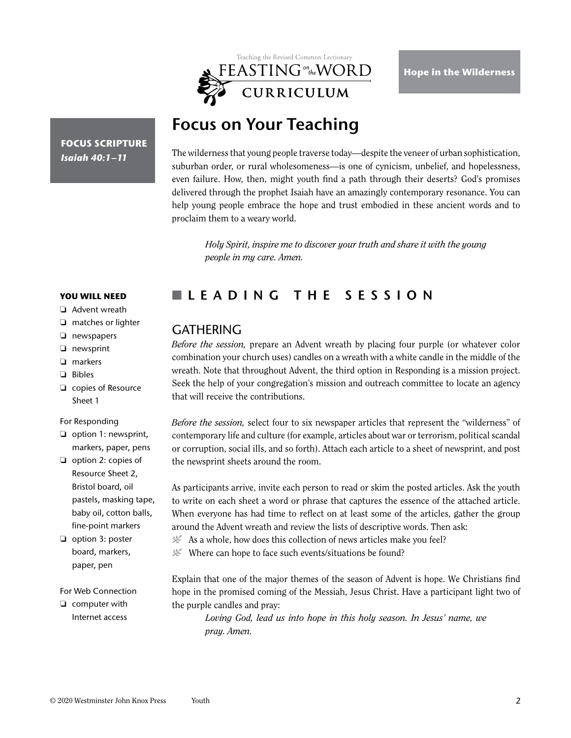

## **Focus on Your Teaching**

**FOCUS SCRIPTURE** *Isaiah 40:1–11*

The wilderness that young people traverse today—despite the veneer of urban sophistication, suburban order, or rural wholesomeness—is one of cynicism, unbelief, and hopelessness, even failure. How, then, might youth find a path through their deserts? God's promises delivered through the prophet Isaiah have an amazingly contemporary resonance. You can help young people embrace the hope and trust embodied in these ancient words and to proclaim them to a weary world.

*Holy Spirit, inspire me to discover your truth and share it with the young people in my care. Amen.*

## n **LEADING THE SESSION**

## **GATHERING**

*Before the session,* prepare an Advent wreath by placing four purple (or whatever color combination your church uses) candles on a wreath with a white candle in the middle of the wreath. Note that throughout Advent, the third option in Responding is a mission project. Seek the help of your congregation's mission and outreach committee to locate an agency that will receive the contributions.

*Before the session,* select four to six newspaper articles that represent the "wilderness" of contemporary life and culture (for example, articles about war or terrorism, political scandal or corruption, social ills, and so forth). Attach each article to a sheet of newsprint, and post the newsprint sheets around the room.

As participants arrive, invite each person to read or skim the posted articles. Ask the youth to write on each sheet a word or phrase that captures the essence of the attached article. When everyone has had time to reflect on at least some of the articles, gather the group around the Advent wreath and review the lists of descriptive words. Then ask:

 $\mathcal{L}$  As a whole, how does this collection of news articles make you feel?

 $\mathcal{L}$  Where can hope to face such events/situations be found?

Explain that one of the major themes of the season of Advent is hope. We Christians find hope in the promised coming of the Messiah, Jesus Christ. Have a participant light two of the purple candles and pray:

*Loving God, lead us into hope in this holy season. In Jesus' name, we pray. Amen.*

#### **YOU WILL NEED**

- ❏ Advent wreath
- ❏ matches or lighter
- ❏ newspapers
- ❏ newsprint
- ❏ markers
- ❏ Bibles
- ❏ copies of Resource Sheet 1

#### For Responding

- ❏ option 1: newsprint, markers, paper, pens
- ❏ option 2: copies of Resource Sheet 2, Bristol board, oil pastels, masking tape, baby oil, cotton balls, fine-point markers
- ❏ option 3: poster board, markers, paper, pen

#### For Web Connection

❏ computer with Internet access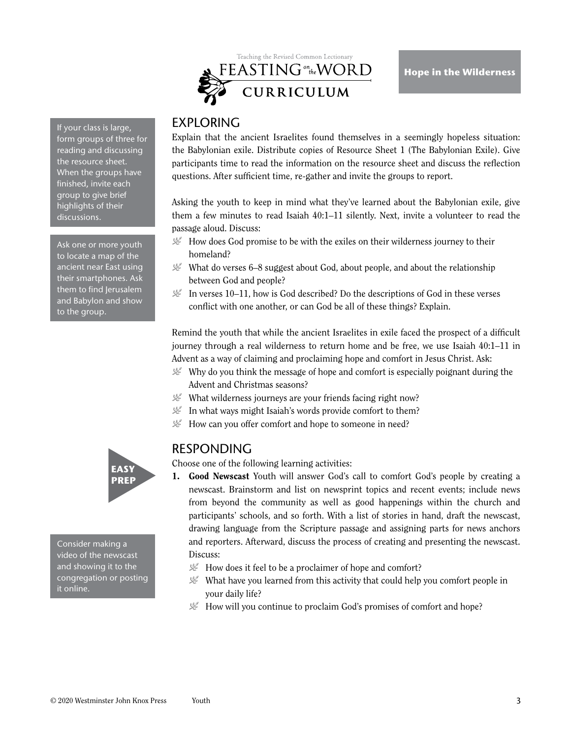

If your class is large, form groups of three for reading and discussing the resource sheet. When the groups have finished, invite each group to give brief highlights of their discussions.

Ask one or more youth to locate a map of the ancient near East using their smartphones. Ask them to find Jerusalem and Babylon and show to the group.

## EXPLORING

Explain that the ancient Israelites found themselves in a seemingly hopeless situation: the Babylonian exile. Distribute copies of Resource Sheet 1 (The Babylonian Exile). Give participants time to read the information on the resource sheet and discuss the reflection questions. After sufficient time, re-gather and invite the groups to report.

Asking the youth to keep in mind what they've learned about the Babylonian exile, give them a few minutes to read Isaiah 40:1–11 silently. Next, invite a volunteer to read the passage aloud. Discuss:

- $\mathcal{L}$  How does God promise to be with the exiles on their wilderness journey to their homeland?
- $\mathcal{L}$  What do verses 6–8 suggest about God, about people, and about the relationship between God and people?
- $\mathcal{L}$  In verses 10–11, how is God described? Do the descriptions of God in these verses conflict with one another, or can God be all of these things? Explain.

Remind the youth that while the ancient Israelites in exile faced the prospect of a difficult journey through a real wilderness to return home and be free, we use Isaiah 40:1–11 in Advent as a way of claiming and proclaiming hope and comfort in Jesus Christ. Ask:

- $\mathcal{L}$  Why do you think the message of hope and comfort is especially poignant during the Advent and Christmas seasons?
- $\mathcal{L}$  What wilderness journeys are your friends facing right now?
- $\mathcal{L}$  In what ways might Isaiah's words provide comfort to them?
- $\mathcal{L}$  How can you offer comfort and hope to someone in need?

## RESPONDING

Choose one of the following learning activities:

- 1. Good Newscast Youth will answer God's call to comfort God's people by creating a newscast. Brainstorm and list on newsprint topics and recent events; include news from beyond the community as well as good happenings within the church and participants' schools, and so forth. With a list of stories in hand, draft the newscast, drawing language from the Scripture passage and assigning parts for news anchors and reporters. Afterward, discuss the process of creating and presenting the newscast. Discuss:
	- $\mathcal{L}$  How does it feel to be a proclaimer of hope and comfort?
	- $\mathcal{L}$  What have you learned from this activity that could help you comfort people in your daily life?
	- $\mathcal{L}$  How will you continue to proclaim God's promises of comfort and hope?



Consider making a video of the newscast and showing it to the congregation or posting it online.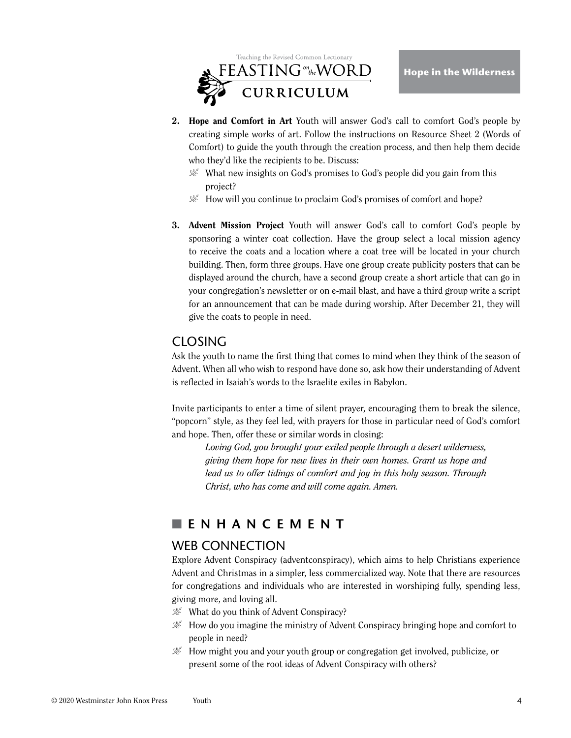

- 2. Hope and Comfort in Art Youth will answer God's call to comfort God's people by creating simple works of art. Follow the instructions on Resource Sheet 2 (Words of Comfort) to guide the youth through the creation process, and then help them decide who they'd like the recipients to be. Discuss:
	- $\mathcal{L}$  What new insights on God's promises to God's people did you gain from this project?
	- $\mathcal{L}$  How will you continue to proclaim God's promises of comfort and hope?
- 3. Advent Mission Project Youth will answer God's call to comfort God's people by sponsoring a winter coat collection. Have the group select a local mission agency to receive the coats and a location where a coat tree will be located in your church building. Then, form three groups. Have one group create publicity posters that can be displayed around the church, have a second group create a short article that can go in your congregation's newsletter or on e-mail blast, and have a third group write a script for an announcement that can be made during worship. After December 21, they will give the coats to people in need.

## **CLOSING**

Ask the youth to name the first thing that comes to mind when they think of the season of Advent. When all who wish to respond have done so, ask how their understanding of Advent is reflected in Isaiah's words to the Israelite exiles in Babylon.

Invite participants to enter a time of silent prayer, encouraging them to break the silence, "popcorn" style, as they feel led, with prayers for those in particular need of God's comfort and hope. Then, offer these or similar words in closing:

*Loving God, you brought your exiled people through a desert wilderness, giving them hope for new lives in their own homes. Grant us hope and lead us to offer tidings of comfort and joy in this holy season. Through Christ, who has come and will come again. Amen.*

## n **ENHANCEMENT**

## WEB CONNECTION

Explore Advent Conspiracy (adventconspiracy), which aims to help Christians experience Advent and Christmas in a simpler, less commercialized way. Note that there are resources for congregations and individuals who are interested in worshiping fully, spending less, giving more, and loving all.

- $\mathcal{L}$  What do you think of Advent Conspiracy?
- $\mathcal{L}$  How do you imagine the ministry of Advent Conspiracy bringing hope and comfort to people in need?
- $\mathcal{L}$  How might you and your youth group or congregation get involved, publicize, or present some of the root ideas of Advent Conspiracy with others?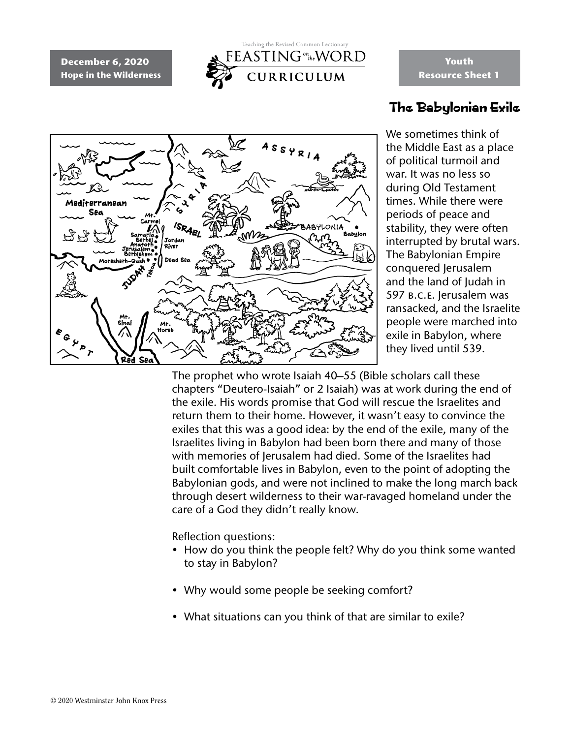**December 6, 2020 Hope in the Wilderness**



# $AS<sub>S</sub>YR<sub>1A</sub>$ Mediterranean Sea ABYLONIA Jordan **SUDAY** Red Sea

**Youth Resource Sheet 1**

## The Babylonian Exile

We sometimes think of the Middle East as a place of political turmoil and war. It was no less so during Old Testament times. While there were periods of peace and stability, they were often interrupted by brutal wars. The Babylonian Empire conquered Jerusalem and the land of Judah in 597 b.c.e. Jerusalem was ransacked, and the Israelite people were marched into exile in Babylon, where they lived until 539.

The prophet who wrote Isaiah 40–55 (Bible scholars call these chapters "Deutero-Isaiah" or 2 Isaiah) was at work during the end of the exile. His words promise that God will rescue the Israelites and return them to their home. However, it wasn't easy to convince the exiles that this was a good idea: by the end of the exile, many of the Israelites living in Babylon had been born there and many of those with memories of Jerusalem had died. Some of the Israelites had built comfortable lives in Babylon, even to the point of adopting the Babylonian gods, and were not inclined to make the long march back through desert wilderness to their war-ravaged homeland under the care of a God they didn't really know.

Reflection questions:

- How do you think the people felt? Why do you think some wanted to stay in Babylon?
- Why would some people be seeking comfort?
- What situations can you think of that are similar to exile?